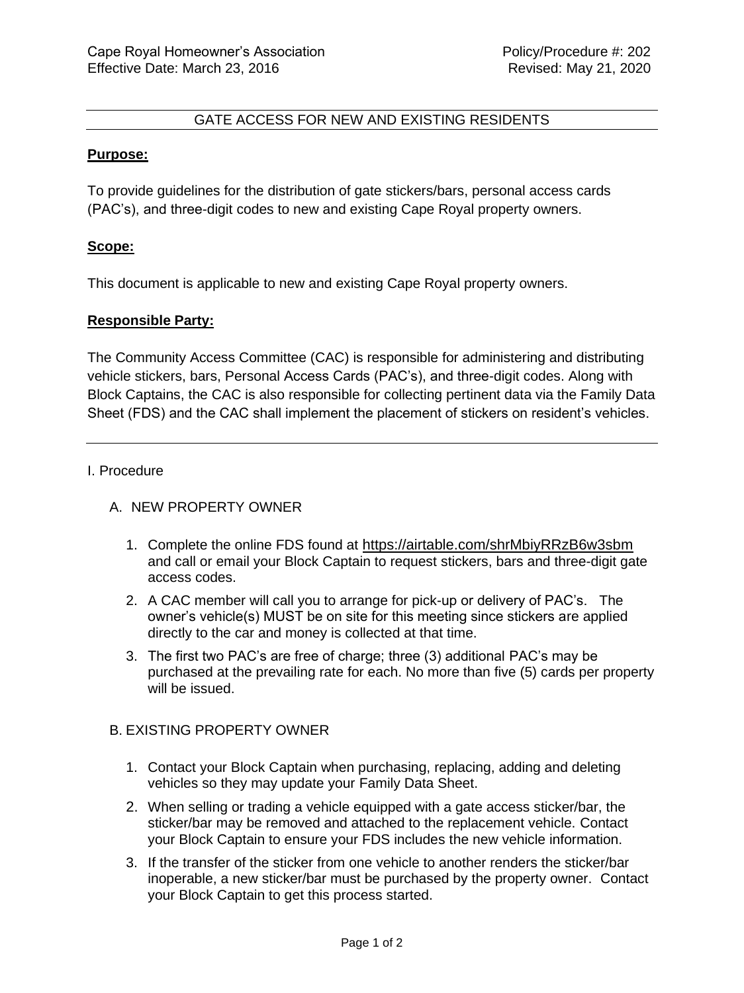## GATE ACCESS FOR NEW AND EXISTING RESIDENTS

## **Purpose:**

To provide guidelines for the distribution of gate stickers/bars, personal access cards (PAC's), and three-digit codes to new and existing Cape Royal property owners.

## **Scope:**

This document is applicable to new and existing Cape Royal property owners.

# **Responsible Party:**

The Community Access Committee (CAC) is responsible for administering and distributing vehicle stickers, bars, Personal Access Cards (PAC's), and three-digit codes. Along with Block Captains, the CAC is also responsible for collecting pertinent data via the Family Data Sheet (FDS) and the CAC shall implement the placement of stickers on resident's vehicles.

## I. Procedure

# A. NEW PROPERTY OWNER

- 1. Complete the online FDS found at <https://airtable.com/shrMbiyRRzB6w3sbm> and call or email your Block Captain to request stickers, bars and three-digit gate access codes.
- 2. A CAC member will call you to arrange for pick-up or delivery of PAC's. The owner's vehicle(s) MUST be on site for this meeting since stickers are applied directly to the car and money is collected at that time.
- 3. The first two PAC's are free of charge; three (3) additional PAC's may be purchased at the prevailing rate for each. No more than five (5) cards per property will be issued.

## B. EXISTING PROPERTY OWNER

- 1. Contact your Block Captain when purchasing, replacing, adding and deleting vehicles so they may update your Family Data Sheet.
- 2. When selling or trading a vehicle equipped with a gate access sticker/bar, the sticker/bar may be removed and attached to the replacement vehicle. Contact your Block Captain to ensure your FDS includes the new vehicle information.
- 3. If the transfer of the sticker from one vehicle to another renders the sticker/bar inoperable, a new sticker/bar must be purchased by the property owner. Contact your Block Captain to get this process started.